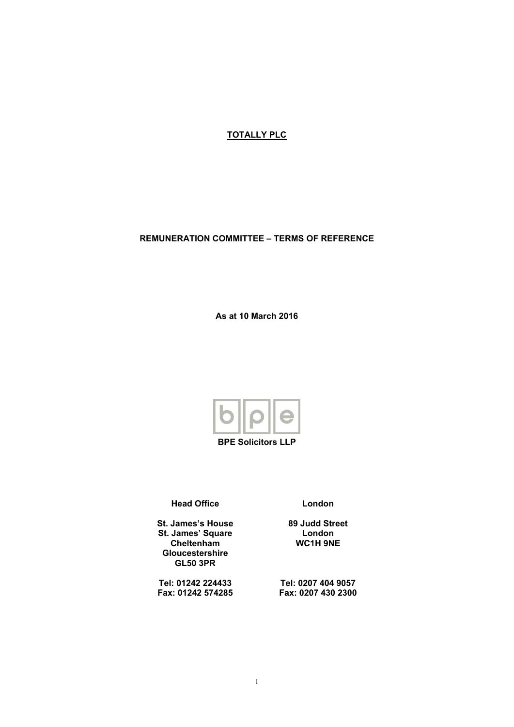**TOTALLY PLC**

#### **REMUNERATION COMMITTEE – TERMS OF REFERENCE**

**As at 10 March 2016**



**BPE Solicitors LLP**

**Head Office**

**St. James's House St. James' Square Cheltenham Gloucestershire GL50 3PR**

**Tel: 01242 224433 Fax: 01242 574285** **London**

**89 Judd Street London WC1H 9NE**

**Tel: 0207 404 9057 Fax: 0207 430 2300**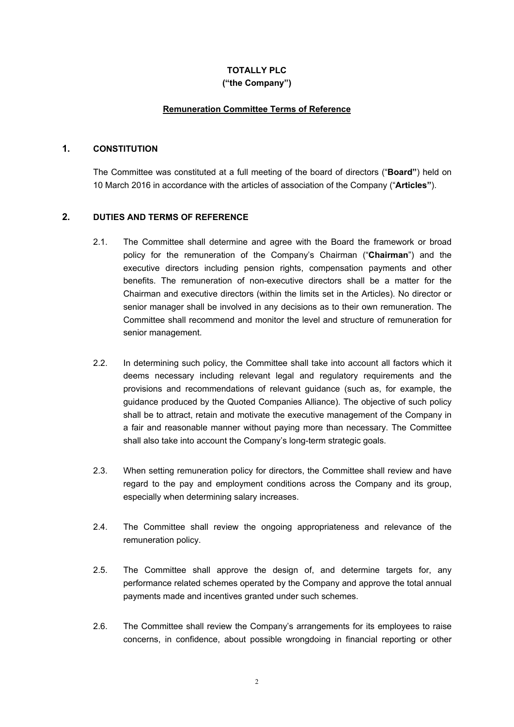# **TOTALLY PLC**

# **("the Company")**

# **Remuneration Committee Terms of Reference**

# **1. CONSTITUTION**

The Committee was constituted at a full meeting of the board of directors ("**Board"**) held on 10 March 2016 in accordance with the articles of association of the Company ("**Articles"**).

# **2. DUTIES AND TERMS OF REFERENCE**

- 2.1. The Committee shall determine and agree with the Board the framework or broad policy for the remuneration of the Company's Chairman ("**Chairman**") and the executive directors including pension rights, compensation payments and other benefits. The remuneration of non-executive directors shall be a matter for the Chairman and executive directors (within the limits set in the Articles). No director or senior manager shall be involved in any decisions as to their own remuneration. The Committee shall recommend and monitor the level and structure of remuneration for senior management.
- 2.2. In determining such policy, the Committee shall take into account all factors which it deems necessary including relevant legal and regulatory requirements and the provisions and recommendations of relevant guidance (such as, for example, the guidance produced by the Quoted Companies Alliance). The objective of such policy shall be to attract, retain and motivate the executive management of the Company in a fair and reasonable manner without paying more than necessary. The Committee shall also take into account the Company's long-term strategic goals.
- 2.3. When setting remuneration policy for directors, the Committee shall review and have regard to the pay and employment conditions across the Company and its group, especially when determining salary increases.
- 2.4. The Committee shall review the ongoing appropriateness and relevance of the remuneration policy.
- 2.5. The Committee shall approve the design of, and determine targets for, any performance related schemes operated by the Company and approve the total annual payments made and incentives granted under such schemes.
- 2.6. The Committee shall review the Company's arrangements for its employees to raise concerns, in confidence, about possible wrongdoing in financial reporting or other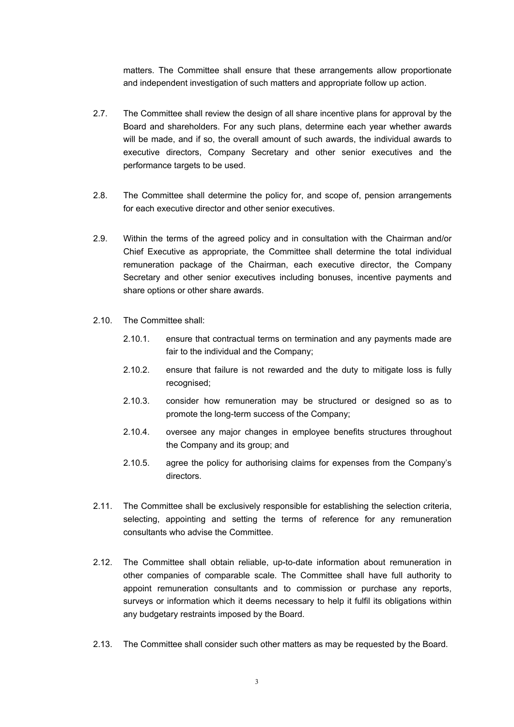matters. The Committee shall ensure that these arrangements allow proportionate and independent investigation of such matters and appropriate follow up action.

- 2.7. The Committee shall review the design of all share incentive plans for approval by the Board and shareholders. For any such plans, determine each year whether awards will be made, and if so, the overall amount of such awards, the individual awards to executive directors, Company Secretary and other senior executives and the performance targets to be used.
- 2.8. The Committee shall determine the policy for, and scope of, pension arrangements for each executive director and other senior executives.
- 2.9. Within the terms of the agreed policy and in consultation with the Chairman and/or Chief Executive as appropriate, the Committee shall determine the total individual remuneration package of the Chairman, each executive director, the Company Secretary and other senior executives including bonuses, incentive payments and share options or other share awards.
- 2.10. The Committee shall:
	- 2.10.1. ensure that contractual terms on termination and any payments made are fair to the individual and the Company;
	- 2.10.2. ensure that failure is not rewarded and the duty to mitigate loss is fully recognised;
	- 2.10.3. consider how remuneration may be structured or designed so as to promote the long-term success of the Company;
	- 2.10.4. oversee any major changes in employee benefits structures throughout the Company and its group; and
	- 2.10.5. agree the policy for authorising claims for expenses from the Company's directors.
- 2.11. The Committee shall be exclusively responsible for establishing the selection criteria, selecting, appointing and setting the terms of reference for any remuneration consultants who advise the Committee.
- 2.12. The Committee shall obtain reliable, up-to-date information about remuneration in other companies of comparable scale. The Committee shall have full authority to appoint remuneration consultants and to commission or purchase any reports, surveys or information which it deems necessary to help it fulfil its obligations within any budgetary restraints imposed by the Board.
- 2.13. The Committee shall consider such other matters as may be requested by the Board.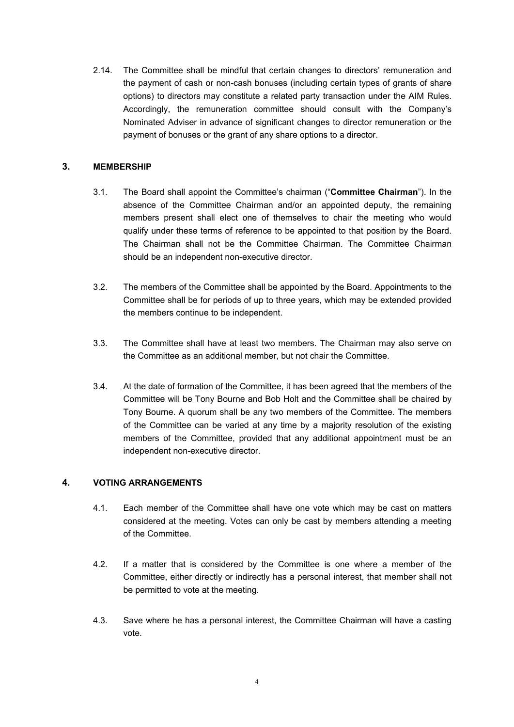2.14. The Committee shall be mindful that certain changes to directors' remuneration and the payment of cash or non-cash bonuses (including certain types of grants of share options) to directors may constitute a related party transaction under the AIM Rules. Accordingly, the remuneration committee should consult with the Company's Nominated Adviser in advance of significant changes to director remuneration or the payment of bonuses or the grant of any share options to a director.

## **3. MEMBERSHIP**

- 3.1. The Board shall appoint the Committee's chairman ("**Committee Chairman**"). In the absence of the Committee Chairman and/or an appointed deputy, the remaining members present shall elect one of themselves to chair the meeting who would qualify under these terms of reference to be appointed to that position by the Board. The Chairman shall not be the Committee Chairman. The Committee Chairman should be an independent non-executive director.
- 3.2. The members of the Committee shall be appointed by the Board. Appointments to the Committee shall be for periods of up to three years, which may be extended provided the members continue to be independent.
- 3.3. The Committee shall have at least two members. The Chairman may also serve on the Committee as an additional member, but not chair the Committee.
- 3.4. At the date of formation of the Committee, it has been agreed that the members of the Committee will be Tony Bourne and Bob Holt and the Committee shall be chaired by Tony Bourne. A quorum shall be any two members of the Committee. The members of the Committee can be varied at any time by a majority resolution of the existing members of the Committee, provided that any additional appointment must be an independent non-executive director.

#### **4. VOTING ARRANGEMENTS**

- 4.1. Each member of the Committee shall have one vote which may be cast on matters considered at the meeting. Votes can only be cast by members attending a meeting of the Committee.
- 4.2. If a matter that is considered by the Committee is one where a member of the Committee, either directly or indirectly has a personal interest, that member shall not be permitted to vote at the meeting.
- 4.3. Save where he has a personal interest, the Committee Chairman will have a casting vote.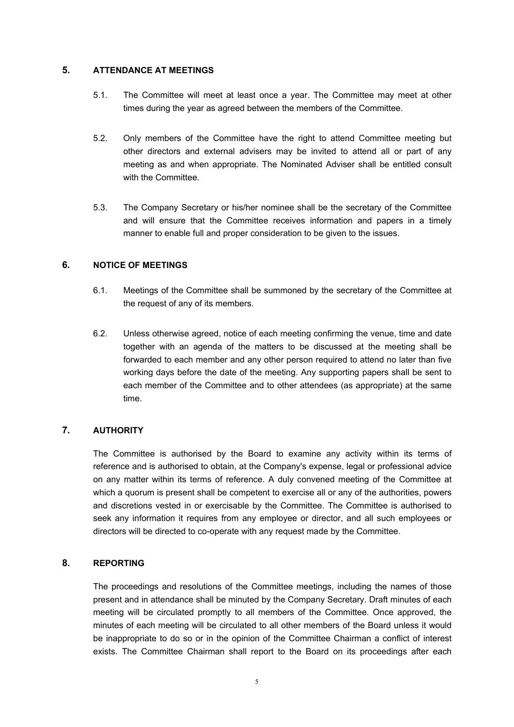#### **5. ATTENDANCE AT MEETINGS**

- 5.1. The Committee will meet at least once a year. The Committee may meet at other times during the year as agreed between the members of the Committee.
- 5.2. Only members of the Committee have the right to attend Committee meeting but other directors and external advisers may be invited to attend all or part of any meeting as and when appropriate. The Nominated Adviser shall be entitled consult with the Committee.
- 5.3. The Company Secretary or his/her nominee shall be the secretary of the Committee and will ensure that the Committee receives information and papers in a timely manner to enable full and proper consideration to be given to the issues.

# **6. NOTICE OF MEETINGS**

- 6.1. Meetings of the Committee shall be summoned by the secretary of the Committee at the request of any of its members.
- 6.2. Unless otherwise agreed, notice of each meeting confirming the venue, time and date together with an agenda of the matters to be discussed at the meeting shall be forwarded to each member and any other person required to attend no later than five working days before the date of the meeting. Any supporting papers shall be sent to each member of the Committee and to other attendees (as appropriate) at the same time.

# **7. AUTHORITY**

The Committee is authorised by the Board to examine any activity within its terms of reference and is authorised to obtain, at the Company's expense, legal or professional advice on any matter within its terms of reference. A duly convened meeting of the Committee at which a quorum is present shall be competent to exercise all or any of the authorities, powers and discretions vested in or exercisable by the Committee. The Committee is authorised to seek any information it requires from any employee or director, and all such employees or directors will be directed to co-operate with any request made by the Committee.

#### **8. REPORTING**

The proceedings and resolutions of the Committee meetings, including the names of those present and in attendance shall be minuted by the Company Secretary. Draft minutes of each meeting will be circulated promptly to all members of the Committee. Once approved, the minutes of each meeting will be circulated to all other members of the Board unless it would be inappropriate to do so or in the opinion of the Committee Chairman a conflict of interest exists. The Committee Chairman shall report to the Board on its proceedings after each